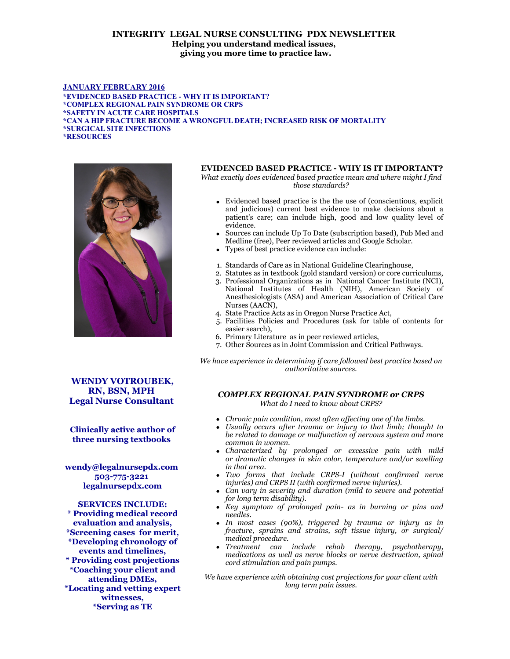# **INTEGRITY LEGAL NURSE CONSULTING PDX NEWSLETTER Helping you understand medical issues, giving you more time to practice law.**

#### **JANUARY FEBRUARY 2016 \*EVIDENCED BASED PRACTICE - WHY IT IS IMPORTANT? \*COMPLEX REGIONAL PAIN SYNDROME OR CRPS \*SAFETY IN ACUTE CARE HOSPITALS \*CAN A HIP FRACTURE BECOME A WRONGFUL DEATH; INCREASED RISK OF MORTALITY \*SURGICAL SITE INFECTIONS \*RESOURCES**



#### **EVIDENCED BASED PRACTICE - WHY IS IT IMPORTANT?**

*What exactly does evidenced based practice mean and where might I find those standards?*

- Evidenced based practice is the the use of (conscientious, explicit and judicious) current best evidence to make decisions about a patient's care; can include high, good and low quality level of evidence.
- Sources can include Up To Date (subscription based), Pub Med and Medline (free), Peer reviewed articles and Google Scholar.
- Types of best practice evidence can include:
- 1. Standards of Care as in National Guideline Clearinghouse,
- 2. Statutes as in textbook (gold standard version) or core curriculums,
- 3. Professional Organizations as in National Cancer Institute (NCI), National Institutes of Health (NIH), American Society of Anesthesiologists (ASA) and American Association of Critical Care Nurses (AACN),
- 4. State Practice Acts as in Oregon Nurse Practice Act,
- 5. Facilities Policies and Procedures (ask for table of contents for easier search),
- 6. Primary Literature as in peer reviewed articles,
- 7. Other Sources as in Joint Commission and Critical Pathways.

*We have experience in determining if care followed best practice based on authoritative sources.*

# *COMPLEX REGIONAL PAIN SYNDROME or CRPS What do I need to know about CRPS?*

- *Chronic pain condition, most often affecting one of the limbs.*
- *Usually occurs after trauma or injury to that limb; thought to be related to damage or malfunction of nervous system and more common in women.*
- *Characterized by prolonged or excessive pain with mild or dramatic changes in skin color, temperature and/or swelling in that area.*
- *Two forms that include CRPS-I (without confirmed nerve injuries) and CRPS II (with confirmed nerve injuries).*
- *Can vary in severity and duration (mild to severe and potential for long term disability).*
- *Key symptom of prolonged pain- as in burning or pins and needles.*
- *In most cases (90%), triggered by trauma or injury as in fracture, sprains and strains, soft tissue injury, or surgical/ medical procedure.*
- *Treatment can include rehab therapy, psychotherapy, medications as well as nerve blocks or nerve destruction, spinal cord stimulation and pain pumps.*

*We have experience with obtaining cost projections for your client with long term pain issues.*

**WENDY VOTROUBEK, RN, BSN, MPH Legal Nurse Consultant** 

**Clinically active author of three nursing textbooks** 

**wendy@legalnursepdx.com 503-775-3221 legalnursepdx.com**

**SERVICES INCLUDE: \* Providing medical record evaluation and analysis, \*Screening cases for merit, \*Developing chronology of events and timelines, \* Providing cost projections \*Coaching your client and attending DMEs, \*Locating and vetting expert witnesses, \*Serving as TE**